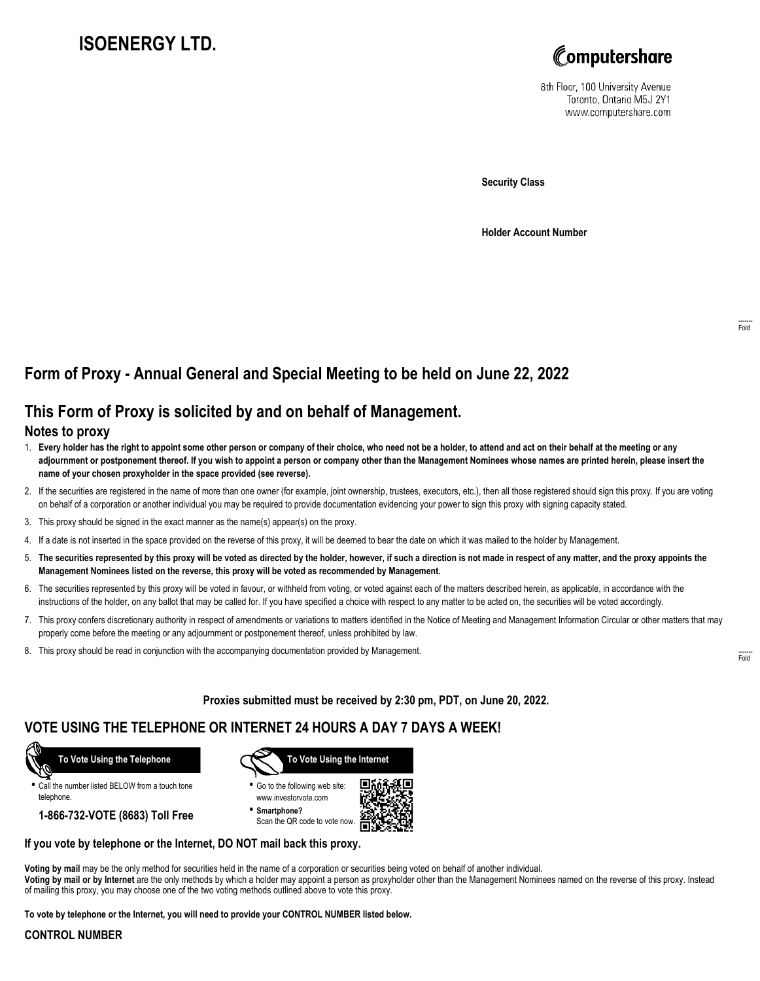# **ISOENERGY LTD.**



8th Floor, 100 University Avenue Toronto, Ontario M5J 2Y1 www.computershare.com

**Security Class**

**Holder Account Number**

## **Form of Proxy - Annual General and Special Meeting to be held on June 22, 2022**

## **This Form of Proxy is solicited by and on behalf of Management.**

#### **Notes to proxy**

- 1. **Every holder has the right to appoint some other person or company of their choice, who need not be a holder, to attend and act on their behalf at the meeting or any adjournment or postponement thereof. If you wish to appoint a person or company other than the Management Nominees whose names are printed herein, please insert the name of your chosen proxyholder in the space provided (see reverse).**
- 2. If the securities are registered in the name of more than one owner (for example, joint ownership, trustees, executors, etc.), then all those registered should sign this proxy. If you are voting on behalf of a corporation or another individual you may be required to provide documentation evidencing your power to sign this proxy with signing capacity stated.
- 3. This proxy should be signed in the exact manner as the name(s) appear(s) on the proxy.
- 4. If a date is not inserted in the space provided on the reverse of this proxy, it will be deemed to bear the date on which it was mailed to the holder by Management.
- 5. **The securities represented by this proxy will be voted as directed by the holder, however, if such a direction is not made in respect of any matter, and the proxy appoints the Management Nominees listed on the reverse, this proxy will be voted as recommended by Management.**
- 6. The securities represented by this proxy will be voted in favour, or withheld from voting, or voted against each of the matters described herein, as applicable, in accordance with the instructions of the holder, on any ballot that may be called for. If you have specified a choice with respect to any matter to be acted on, the securities will be voted accordingly.
- 7. This proxy confers discretionary authority in respect of amendments or variations to matters identified in the Notice of Meeting and Management Information Circular or other matters that may properly come before the meeting or any adjournment or postponement thereof, unless prohibited by law.
- 8. This proxy should be read in conjunction with the accompanying documentation provided by Management.

**Proxies submitted must be received by 2:30 pm, PDT, on June 20, 2022.**

## **VOTE USING THE TELEPHONE OR INTERNET 24 HOURS A DAY 7 DAYS A WEEK!**



**•** Call the number listed BELOW from a touch tone telephone.

**1-866-732-VOTE (8683) Toll Free**



**•** Go to the following web site: www.investorvote.com

**• Smartphone?** Scan the QR code to vote now.



#### **If you vote by telephone or the Internet, DO NOT mail back this proxy.**

**Voting by mail** may be the only method for securities held in the name of a corporation or securities being voted on behalf of another individual. **Voting by mail or by Internet** are the only methods by which a holder may appoint a person as proxyholder other than the Management Nominees named on the reverse of this proxy. Instead of mailing this proxy, you may choose one of the two voting methods outlined above to vote this proxy.

**To vote by telephone or the Internet, you will need to provide your CONTROL NUMBER listed below.**

#### **CONTROL NUMBER**